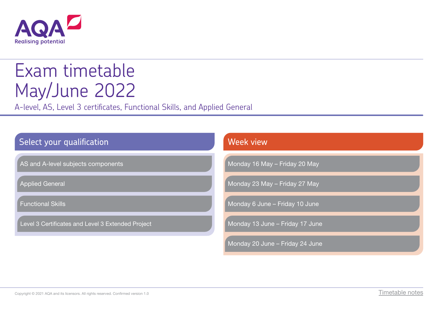

# Exam timetable May/June 2022

A-level, AS, Level 3 certificates, Functional Skills, and Applied General

| Select your qualification                         | Week view                       |
|---------------------------------------------------|---------------------------------|
| AS and A-level subjects components                | Monday 16 May - Friday 20 May   |
| <b>Applied General</b>                            | Monday 23 May - Friday 27 May   |
| <b>Functional Skills</b>                          | Monday 6 June - Friday 10 June  |
| Level 3 Certificates and Level 3 Extended Project | Monday 13 June - Friday 17 June |
|                                                   | Monday 20 June - Friday 24 June |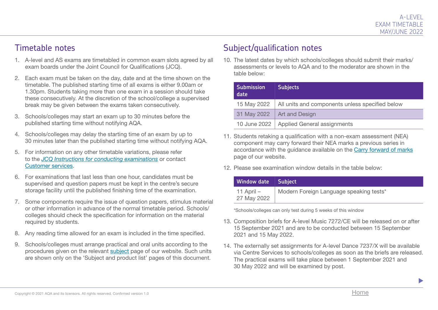#### Timetable notes

- 1. A-level and AS exams are timetabled in common exam slots agreed by all exam boards under the Joint Council for Qualifications (JCQ).
- 2. Each exam must be taken on the day, date and at the time shown on the timetable. The published starting time of all exams is either 9.00am or 1.30pm. Students taking more than one exam in a session should take these consecutively. At the discretion of the school/college a supervised break may be given between the exams taken consecutively.
- 3. Schools/colleges may start an exam up to 30 minutes before the published starting time without notifying AQA.
- 4. Schools/colleges may delay the starting time of an exam by up to 30 minutes later than the published starting time without notifying AQA.
- 5. For information on any other timetable variations, please refer to the *[JCQ Instructions for conducting examinations](http://www.jcq.org.uk/exams-office/ice---instructions-for-conducting-examinations)* or contact [Customer services.](mailto:eos%40aqa.org.uk?subject=)
- 6. For examinations that last less than one hour, candidates must be supervised and question papers must be kept in the centre's secure storage facility until the published finishing time of the examination.
- 7. Some components require the issue of question papers, stimulus material or other information in advance of the normal timetable period. Schools/ colleges should check the specification for information on the material required by students.
- 8. Any reading time allowed for an exam is included in the time specified.
- 9. Schools/colleges must arrange practical and oral units according to the procedures given on the relevant [subject](http://www.aqa.org.uk/subjects) page of our website. Such units are shown only on the 'Subject and product list' pages of this document.

#### Subject/qualification notes

10. The latest dates by which schools/colleges should submit their marks/ assessments or levels to AQA and to the moderator are shown in the table below:

| <b>Submission</b><br>date | <b>Subjects</b>                                               |
|---------------------------|---------------------------------------------------------------|
|                           | 15 May 2022   All units and components unless specified below |
|                           | 31 May 2022   Art and Design                                  |
|                           | 10 June 2022   Applied General assignments                    |

- 11. Students retaking a qualification with a non-exam assessment (NEA) component may carry forward their NEA marks a previous series in accordance with the guidance available on the Ca[rry forward of marks](http://www.aqa.org.uk/exams-administration/coursework-and-controlled-assessment/carry-forward-of-marks) [pag](http://www.aqa.org.uk/exams-administration/coursework-and-controlled-assessment/carry-forward-of-marks)e of our website.
- 12. Please see examination window details in the table below:

| Window date Subject         |                                         |
|-----------------------------|-----------------------------------------|
| 11 April $-$<br>27 May 2022 | Modern Foreign Language speaking tests* |

\*Schools/colleges can only test during 5 weeks of this window

- 13. Composition briefs for A-level Music 7272/CE will be released on or after 15 September 2021 and are to be conducted between 15 September 2021 and 15 May 2022.
- 14. The externally set assignments for A-level Dance 7237/X will be available via Centre Services to schools/colleges as soon as the briefs are released. The practical exams will take place between 1 September 2021 and 30 May 2022 and will be examined by post.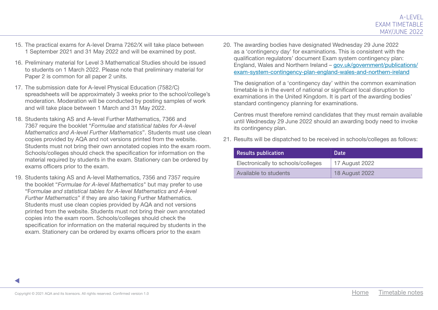- 15. The practical exams for A-level Drama 7262/X will take place between 1 September 2021 and 31 May 2022 and will be examined by post.
- 16. Preliminary material for Level 3 Mathematical Studies should be issued to students on 1 March 2022. Please note that preliminary material for Paper 2 is common for all paper 2 units.
- 17. The submission date for A-level Physical Education (7582/C) spreadsheets will be approximately 3 weeks prior to the school/college's moderation. Moderation will be conducted by posting samples of work and will take place between 1 March and 31 May 2022.
- 18. Students taking AS and A-level Further Mathematics, 7366 and 7367 require the booklet "*Formulae and statistical tables for A-level Mathematics and A-level Further Mathematics*". Students must use clean copies provided by AQA and not versions printed from the website. Students must not bring their own annotated copies into the exam room. Schools/colleges should check the specification for information on the material required by students in the exam. Stationery can be ordered by exams officers prior to the exam.
- 19. Students taking AS and A-level Mathematics, 7356 and 7357 require the booklet "*Formulae for A-level Mathematics*" but may prefer to use "F*ormulae and statistical tables for A-level Mathematics and A-level Further Mathematics*" if they are also taking Further Mathematics. Students must use clean copies provided by AQA and not versions printed from the website. Students must not bring their own annotated copies into the exam room. Schools/colleges should check the specification for information on the material required by students in the exam. Stationery can be ordered by exams officers prior to the exam

20. The awarding bodies have designated Wednesday 29 June 2022 as a 'contingency day' for examinations. This is consistent with the qualification regulators' document Exam system contingency plan: England, Wales and Northern Ireland – [gov.uk/government/publications/](http://gov.uk/government/publications/exam-system-contingency-plan-england-wales-and-northern-ireland) [exam-system-contingency-plan-england-wales-and-northern-ireland](http://gov.uk/government/publications/exam-system-contingency-plan-england-wales-and-northern-ireland)

The designation of a 'contingency day' within the common examination timetable is in the event of national or significant local disruption to examinations in the United Kingdom. It is part of the awarding bodies' standard contingency planning for examinations.

Centres must therefore remind candidates that they must remain available until Wednesday 29 June 2022 should an awarding body need to invoke its contingency plan.

21. Results will be dispatched to be received in schools/colleges as follows:

| <b>Results publication</b>         | Date                  |
|------------------------------------|-----------------------|
| Electronically to schools/colleges | 17 August 2022        |
| Available to students              | <b>18 August 2022</b> |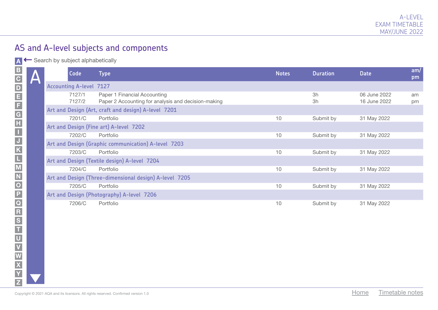A ← Search by subject alphabetically

|            | Code                           | <b>Type</b>                                                                         | <b>Notes</b> | <b>Duration</b> | <b>Date</b>                  | am/<br>pm |
|------------|--------------------------------|-------------------------------------------------------------------------------------|--------------|-----------------|------------------------------|-----------|
| $\sqrt{2}$ | <b>Accounting A-level 7127</b> |                                                                                     |              |                 |                              |           |
|            | 7127/1<br>7127/2               | Paper 1 Financial Accounting<br>Paper 2 Accounting for analysis and decision-making |              | 3h<br>3h        | 06 June 2022<br>16 June 2022 | am<br>pm  |
|            |                                | Art and Design (Art, craft and design) A-level 7201                                 |              |                 |                              |           |
|            | 7201/C                         | Portfolio                                                                           | 10           | Submit by       | 31 May 2022                  |           |
|            |                                | Art and Design (Fine art) A-level 7202                                              |              |                 |                              |           |
|            | 7202/C                         | Portfolio                                                                           | 10           | Submit by       | 31 May 2022                  |           |
|            |                                | Art and Design (Graphic communication) A-level 7203                                 |              |                 |                              |           |
|            | 7203/C                         | Portfolio                                                                           | 10           | Submit by       | 31 May 2022                  |           |
|            |                                | Art and Design (Textile design) A-level 7204                                        |              |                 |                              |           |
|            | 7204/C                         | Portfolio                                                                           | $10$         | Submit by       | 31 May 2022                  |           |
|            |                                | Art and Design (Three-dimensional design) A-level 7205                              |              |                 |                              |           |
|            | 7205/C                         | Portfolio                                                                           | 10           | Submit by       | 31 May 2022                  |           |
|            |                                | Art and Design (Photography) A-level 7206                                           |              |                 |                              |           |
|            | 7206/C                         | Portfolio                                                                           | $10$         | Submit by       | 31 May 2022                  |           |
|            |                                |                                                                                     |              |                 |                              |           |
|            |                                |                                                                                     |              |                 |                              |           |
|            |                                |                                                                                     |              |                 |                              |           |
|            |                                |                                                                                     |              |                 |                              |           |
|            |                                |                                                                                     |              |                 |                              |           |
|            |                                |                                                                                     |              |                 |                              |           |
|            |                                |                                                                                     |              |                 |                              |           |
|            |                                |                                                                                     |              |                 |                              |           |
|            |                                |                                                                                     |              |                 |                              |           |
|            |                                | Copyright © 2021 AQA and its licensors. All rights reserved. Confirmed version 1.0  |              |                 | Timetable notes<br>Home      |           |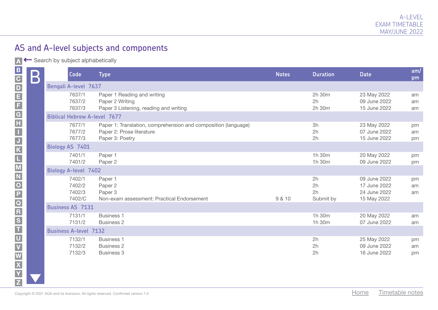A ← Search by subject alphabetically

|                                                                                                    | $\bm{\mathsf{B}}$ | Code                                 | <b>Type</b>                                                                                                    | <b>Notes</b> | <b>Duration</b>             | <b>Date</b>                                                 | am/<br>pm      |
|----------------------------------------------------------------------------------------------------|-------------------|--------------------------------------|----------------------------------------------------------------------------------------------------------------|--------------|-----------------------------|-------------------------------------------------------------|----------------|
|                                                                                                    |                   | <b>Bengali A-level 7637</b>          |                                                                                                                |              |                             |                                                             |                |
|                                                                                                    |                   | 7637/1<br>7637/2<br>7637/3           | Paper 1 Reading and writing<br>Paper 2 Writing<br>Paper 3 Listening, reading and writing                       |              | 2h 30m<br>2h<br>2h 30m      | 23 May 2022<br>09 June 2022<br>15 June 2022                 | am<br>am<br>am |
|                                                                                                    |                   | <b>Biblical Hebrew A-level 7677</b>  |                                                                                                                |              |                             |                                                             |                |
|                                                                                                    |                   | 7677/1<br>7677/2<br>7677/3           | Paper 1: Translation, comprehension and composition (language)<br>Paper 2: Prose literature<br>Paper 3: Poetry |              | 3h<br>2h<br>2h              | 23 May 2022<br>07 June 2022<br>15 June 2022                 | pm<br>am<br>pm |
|                                                                                                    |                   | Biology AS 7401                      |                                                                                                                |              |                             |                                                             |                |
|                                                                                                    |                   | 7401/1<br>7401/2                     | Paper 1<br>Paper 2                                                                                             |              | 1h 30m<br>1h 30m            | 20 May 2022<br>09 June 2022                                 | pm<br>pm       |
|                                                                                                    |                   | <b>Biology A-level 7402</b>          |                                                                                                                |              |                             |                                                             |                |
|                                                                                                    |                   | 7402/1<br>7402/2<br>7402/3<br>7402/C | Paper 1<br>Paper 2<br>Paper 3<br>Non-exam assessment: Practical Endorsement                                    | 9 & 10       | 2h<br>2h<br>2h<br>Submit by | 09 June 2022<br>17 June 2022<br>24 June 2022<br>15 May 2022 | pm<br>am<br>am |
|                                                                                                    |                   | <b>Business AS 7131</b>              |                                                                                                                |              |                             |                                                             |                |
|                                                                                                    |                   | 7131/1<br>7131/2                     | <b>Business 1</b><br><b>Business 2</b>                                                                         |              | 1h 30m<br>1h 30m            | 20 May 2022<br>07 June 2022                                 | am<br>am       |
|                                                                                                    |                   | <b>Business A-level 7132</b>         |                                                                                                                |              |                             |                                                             |                |
| <b>×   ≷   &lt;   ⊂   ¬  ∽   ∇   ∅   ∇   Ø   ∇   Ø   ∇   ⊄   −   エ   ℱ   Ͳ   Ͳ   Ͳ   Ͳ   ワ   Ϙ</b> |                   | 7132/1<br>7132/2<br>7132/3           | <b>Business 1</b><br><b>Business 2</b><br><b>Business 3</b>                                                    |              | 2h<br>2h<br>2h              | 25 May 2022<br>09 June 2022<br>16 June 2022                 | pm<br>am<br>pm |
|                                                                                                    |                   |                                      | Copyright © 2021 AQA and its licensors. All rights reserved. Confirmed version 1.0                             |              |                             | Home<br>Timetable notes                                     |                |

K J N O Q T W X V Y Z **U** E M P S D F G H I L R

B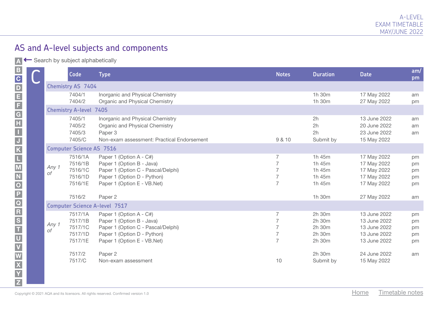A Search by subject alphabetically

|          |                               | <b>Code</b>                                         | <b>Type</b>                                                                                                                                              | <b>Notes</b>   | <b>Duration</b>                                | <b>Date</b>                                                                  | am/<br>pm                  |  |  |
|----------|-------------------------------|-----------------------------------------------------|----------------------------------------------------------------------------------------------------------------------------------------------------------|----------------|------------------------------------------------|------------------------------------------------------------------------------|----------------------------|--|--|
| of<br>of |                               | <b>Chemistry AS 7404</b>                            |                                                                                                                                                          |                |                                                |                                                                              |                            |  |  |
|          |                               | 7404/1<br>7404/2                                    | Inorganic and Physical Chemistry<br>Organic and Physical Chemistry                                                                                       |                | 1h 30m<br>1h 30m                               | 17 May 2022<br>27 May 2022                                                   | am<br>pm                   |  |  |
|          | <b>Chemistry A-level 7405</b> |                                                     |                                                                                                                                                          |                |                                                |                                                                              |                            |  |  |
|          |                               | 7405/1<br>7405/2<br>7405/3<br>7405/C                | Inorganic and Physical Chemistry<br>Organic and Physical Chemistry<br>Paper 3<br>Non-exam assessment: Practical Endorsement                              | 9 & 10         | 2h<br>2h<br>2h<br>Submit by                    | 13 June 2022<br>20 June 2022<br>23 June 2022<br>15 May 2022                  | am<br>am<br>am             |  |  |
|          |                               | <b>Computer Science AS 7516</b>                     |                                                                                                                                                          |                |                                                |                                                                              |                            |  |  |
|          | Any 1                         | 7516/1A<br>7516/1B<br>7516/1C<br>7516/1D<br>7516/1E | Paper 1 (Option A - C#)<br>Paper 1 (Option B - Java)<br>Paper 1 (Option C - Pascal/Delphi)<br>Paper 1 (Option D - Python)<br>Paper 1 (Option E - VB.Net) | $\overline{7}$ | 1h 45m<br>1h 45m<br>1h 45m<br>1h 45m<br>1h 45m | 17 May 2022<br>17 May 2022<br>17 May 2022<br>17 May 2022<br>17 May 2022      | pm<br>pm<br>pm<br>pm<br>pm |  |  |
|          |                               | 7516/2                                              | Paper 2                                                                                                                                                  |                | 1h 30m                                         | 27 May 2022                                                                  | am                         |  |  |
|          |                               |                                                     | <b>Computer Science A-level 7517</b>                                                                                                                     |                |                                                |                                                                              |                            |  |  |
|          | Any 1                         | 7517/1A<br>7517/1B<br>7517/1C<br>7517/1D<br>7517/1E | Paper 1 (Option A - C#)<br>Paper 1 (Option B - Java)<br>Paper 1 (Option C - Pascal/Delphi)<br>Paper 1 (Option D - Python)<br>Paper 1 (Option E - VB.Net) | $\overline{7}$ | 2h 30m<br>2h 30m<br>2h 30m<br>2h 30m<br>2h 30m | 13 June 2022<br>13 June 2022<br>13 June 2022<br>13 June 2022<br>13 June 2022 | pm<br>pm<br>pm<br>pm<br>pm |  |  |
|          |                               | 7517/2<br>7517/C                                    | Paper 2<br>Non-exam assessment                                                                                                                           | 10             | 2h 30m<br>Submit by                            | 24 June 2022<br>15 May 2022                                                  | am                         |  |  |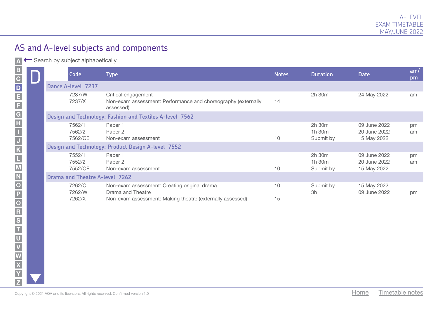A ← Search by subject alphabetically

|                                                                  | <b>Code</b>                                                                        | <b>Type</b>                                                                                       | <b>Notes</b> | <b>Duration</b>               | <b>Date</b>                                 | am/<br>pm |
|------------------------------------------------------------------|------------------------------------------------------------------------------------|---------------------------------------------------------------------------------------------------|--------------|-------------------------------|---------------------------------------------|-----------|
|                                                                  | Dance A-level 7237                                                                 |                                                                                                   |              |                               |                                             |           |
|                                                                  | 7237/W<br>7237/X                                                                   | Critical engagement<br>Non-exam assessment: Performance and choreography (externally<br>assessed) | 14           | 2h 30m                        | 24 May 2022                                 | am        |
|                                                                  |                                                                                    | Design and Technology: Fashion and Textiles A-level 7562                                          |              |                               |                                             |           |
| < ×  동  <  ㄷ  ㅂ  ∽  罓  ㅇ  ㅇ  ㅈ  ㄷ  ㅈ  ㄴ  ㅜ  ㅍ  ᡗ   ㄲ  ㄲ  ㅁ  ㅇ  ㄸ | 7562/1<br>7562/2<br>7562/CE                                                        | Paper 1<br>Paper 2<br>Non-exam assessment                                                         | 10           | 2h 30m<br>1h 30m<br>Submit by | 09 June 2022<br>20 June 2022<br>15 May 2022 | pm<br>am  |
|                                                                  |                                                                                    | Design and Technology: Product Design A-level 7552                                                |              |                               |                                             |           |
|                                                                  | 7552/1<br>7552/2<br>7552/CE                                                        | Paper 1<br>Paper 2<br>Non-exam assessment                                                         | 10           | 2h 30m<br>1h 30m<br>Submit by | 09 June 2022<br>20 June 2022<br>15 May 2022 | pm<br>am  |
|                                                                  | <b>Drama and Theatre A-level 7262</b>                                              |                                                                                                   |              |                               |                                             |           |
|                                                                  | 7262/C<br>7262/W                                                                   | Non-exam assessment: Creating original drama<br>Drama and Theatre                                 | 10           | Submit by<br>3h               | 15 May 2022<br>09 June 2022                 | pm        |
|                                                                  | 7262/X                                                                             | Non-exam assessment: Making theatre (externally assessed)                                         | 15           |                               |                                             |           |
|                                                                  |                                                                                    |                                                                                                   |              |                               |                                             |           |
|                                                                  |                                                                                    |                                                                                                   |              |                               |                                             |           |
|                                                                  |                                                                                    |                                                                                                   |              |                               |                                             |           |
|                                                                  |                                                                                    |                                                                                                   |              |                               |                                             |           |
|                                                                  | Copyright © 2021 AQA and its licensors. All rights reserved. Confirmed version 1.0 |                                                                                                   |              |                               | Timetable notes<br>Home                     |           |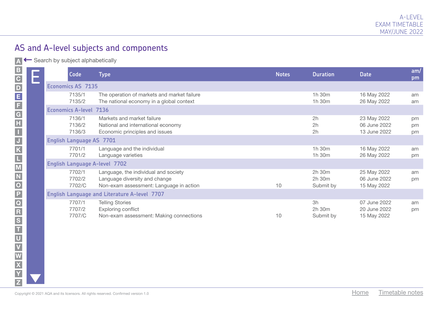A Search by subject alphabetically

| $\mathbf{B}$      | <b>Code</b>                          |  | Type                                                                                                             | <b>Notes</b> | <b>Duration</b>               | <b>Date</b>                                 | am/<br>pm      |  |  |
|-------------------|--------------------------------------|--|------------------------------------------------------------------------------------------------------------------|--------------|-------------------------------|---------------------------------------------|----------------|--|--|
|                   | <b>Economics AS 7135</b>             |  |                                                                                                                  |              |                               |                                             |                |  |  |
|                   | 7135/1<br>7135/2                     |  | The operation of markets and market failure<br>The national economy in a global context                          |              | 1h 30m<br>1h 30m              | 16 May 2022<br>26 May 2022                  | am<br>am       |  |  |
|                   | <b>Economics A-level 7136</b>        |  |                                                                                                                  |              |                               |                                             |                |  |  |
|                   | 7136/1<br>7136/2<br>7136/3           |  | Markets and market failure<br>National and international economy<br>Economic principles and issues               |              | 2h<br>2h<br>2h                | 23 May 2022<br>06 June 2022<br>13 June 2022 | pm<br>pm<br>pm |  |  |
|                   | English Language AS 7701             |  |                                                                                                                  |              |                               |                                             |                |  |  |
|                   | 7701/1<br>7701/2                     |  | Language and the individual<br>Language varieties                                                                |              | 1h 30m<br>1h 30m              | 16 May 2022<br>26 May 2022                  | am<br>pm       |  |  |
|                   | <b>English Language A-level 7702</b> |  |                                                                                                                  |              |                               |                                             |                |  |  |
|                   | 7702/1<br>7702/2<br>7702/C           |  | Language, the individual and society<br>Language diversity and change<br>Non-exam assessment: Language in action | 10           | 2h 30m<br>2h 30m<br>Submit by | 25 May 2022<br>06 June 2022<br>15 May 2022  | am<br>pm       |  |  |
|                   |                                      |  | <b>English Language and Literature A-level 7707</b>                                                              |              |                               |                                             |                |  |  |
| NODOR<br>TOR<br>T | 7707/1<br>7707/2<br>7707/C           |  | <b>Telling Stories</b><br>Exploring conflict<br>Non-exam assessment: Making connections                          | 10           | 3h<br>2h 30m<br>Submit by     | 07 June 2022<br>20 June 2022<br>15 May 2022 | am<br>pm       |  |  |
|                   |                                      |  |                                                                                                                  |              |                               |                                             |                |  |  |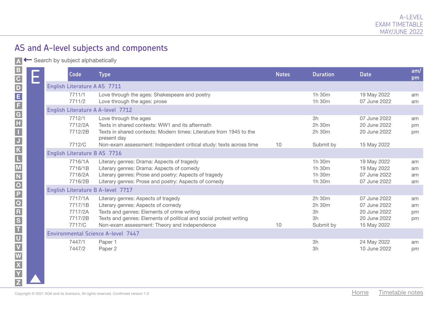A ← Search by subject alphabetically

F G H I

C

M

W X

Y Z

|                                                                                               | E | Code                                               | <b>Type</b>                                                                                                                                                                                                                                    | <b>Notes</b> | <b>Duration</b>                           | <b>Date</b>                                                                 | am/<br>pm            |
|-----------------------------------------------------------------------------------------------|---|----------------------------------------------------|------------------------------------------------------------------------------------------------------------------------------------------------------------------------------------------------------------------------------------------------|--------------|-------------------------------------------|-----------------------------------------------------------------------------|----------------------|
|                                                                                               |   | <b>English Literature A AS 7711</b>                |                                                                                                                                                                                                                                                |              |                                           |                                                                             |                      |
|                                                                                               |   | 7711/1<br>7711/2                                   | Love through the ages: Shakespeare and poetry<br>Love through the ages: prose                                                                                                                                                                  |              | 1h 30m<br>1h 30m                          | 19 May 2022<br>07 June 2022                                                 | am<br>am             |
|                                                                                               |   |                                                    | <b>English Literature A A-level 7712</b>                                                                                                                                                                                                       |              |                                           |                                                                             |                      |
|                                                                                               |   | 7712/1<br>7712/2A<br>7712/2B<br>7712/C             | Love through the ages<br>Texts in shared contexts: WW1 and its aftermath<br>Texts in shared contexts: Modern times: Literature from 1945 to the<br>present day<br>Non-exam assessment: Independent critical study: texts across time           | 10           | 3h<br>2h 30m<br>2h 30m<br>Submit by       | 07 June 2022<br>20 June 2022<br>20 June 2022<br>15 May 2022                 | am<br>pm<br>pm       |
|                                                                                               |   |                                                    | <b>English Literature B AS 7716</b>                                                                                                                                                                                                            |              |                                           |                                                                             |                      |
|                                                                                               |   | 7716/1A<br>7716/1B<br>7716/2A<br>7716/2B           | Literary genres: Drama: Aspects of tragedy<br>Literary genres: Drama: Aspects of comedy<br>Literary genres: Prose and poetry: Aspects of tragedy<br>Literary genres: Prose and poetry: Aspects of comedy                                       |              | 1h 30m<br>1h 30m<br>1h 30m<br>1h 30m      | 19 May 2022<br>19 May 2022<br>07 June 2022<br>07 June 2022                  | am<br>am<br>am<br>am |
|                                                                                               |   |                                                    | <b>English Literature B A-level 7717</b>                                                                                                                                                                                                       |              |                                           |                                                                             |                      |
| <b>×   &lt;   &lt;   &lt;   ←   の   ㄲ   ㅇ   ㄹ   ፩   ㄷ   ㅈ   ←   ㅗ   ㅍ   Ω   ㄲ   ㄲ   ㅁ   ೧</b> |   | 7717/1A<br>7717/1B<br>7717/2A<br>7717/2B<br>7717/C | Literary genres: Aspects of tragedy<br>Literary genres: Aspects of comedy<br>Texts and genres: Elements of crime writing<br>Texts and genres: Elements of political and social protest writing<br>Non-exam assessment: Theory and independence | 10           | 2h 30m<br>2h 30m<br>3h<br>3h<br>Submit by | 07 June 2022<br>07 June 2022<br>20 June 2022<br>20 June 2022<br>15 May 2022 | am<br>am<br>pm<br>pm |
|                                                                                               |   |                                                    | <b>Environmental Science A-level 7447</b>                                                                                                                                                                                                      |              |                                           |                                                                             |                      |
|                                                                                               |   | 7447/1<br>7447/2                                   | Paper 1<br>Paper 2                                                                                                                                                                                                                             |              | 3h<br>3h                                  | 24 May 2022<br>10 June 2022                                                 | am<br>pm             |
|                                                                                               |   |                                                    | Copyright © 2021 AQA and its licensors. All rights reserved. Confirmed version 1.0                                                                                                                                                             |              |                                           | Timetable notes<br>Home                                                     |                      |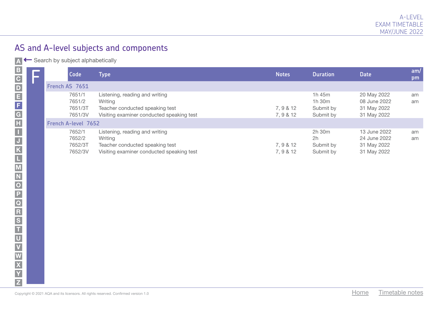A Gearch by subject alphabetically

|  | Code                                   | <b>Type</b>                                                                                                               | <b>Notes</b>           | <b>Duration</b>                            | <b>Date</b>                                                | am/<br>pm |
|--|----------------------------------------|---------------------------------------------------------------------------------------------------------------------------|------------------------|--------------------------------------------|------------------------------------------------------------|-----------|
|  | French AS 7651                         |                                                                                                                           |                        |                                            |                                                            |           |
|  | 7651/1<br>7651/2<br>7651/3T<br>7651/3V | Listening, reading and writing<br>Writing<br>Teacher conducted speaking test<br>Visiting examiner conducted speaking test | 7, 9 & 12<br>7, 9 & 12 | 1h 45m<br>1h 30m<br>Submit by<br>Submit by | 20 May 2022<br>08 June 2022<br>31 May 2022<br>31 May 2022  | am<br>am  |
|  | French A-level 7652                    |                                                                                                                           |                        |                                            |                                                            |           |
|  | 7652/1<br>7652/2<br>7652/3T<br>7652/3V | Listening, reading and writing<br>Writing<br>Teacher conducted speaking test<br>Visiting examiner conducted speaking test | 7, 9 & 12<br>7, 9 & 12 | 2h 30m<br>2h<br>Submit by<br>Submit by     | 13 June 2022<br>24 June 2022<br>31 May 2022<br>31 May 2022 | am<br>am  |
|  |                                        |                                                                                                                           |                        |                                            |                                                            |           |
|  |                                        |                                                                                                                           |                        |                                            |                                                            |           |
|  |                                        |                                                                                                                           |                        |                                            |                                                            |           |
|  |                                        |                                                                                                                           |                        |                                            |                                                            |           |
|  |                                        |                                                                                                                           |                        |                                            |                                                            |           |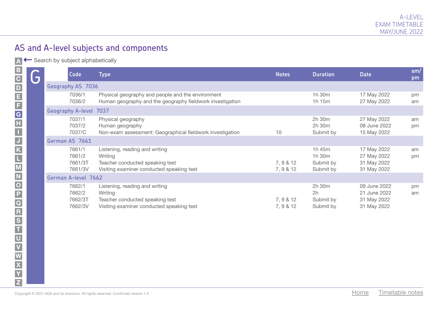A Search by subject alphabetically

| 5 | <b>Code</b>                            | <b>Type</b>                                                                                                               | <b>Notes</b>           | <b>Duration</b>                            | <b>Date</b>                                                | am/<br>pm |
|---|----------------------------------------|---------------------------------------------------------------------------------------------------------------------------|------------------------|--------------------------------------------|------------------------------------------------------------|-----------|
|   | <b>Geography AS 7036</b>               |                                                                                                                           |                        |                                            |                                                            |           |
|   | 7036/1<br>7036/2                       | Physical geography and people and the environment<br>Human geography and the geography fieldwork investigation            |                        | 1h 30m<br>$1h$ 15 $m$                      | 17 May 2022<br>27 May 2022                                 | pm<br>am  |
|   | <b>Geography A-level 7037</b>          |                                                                                                                           |                        |                                            |                                                            |           |
|   | 7037/1<br>7037/2<br>7037/C             | Physical geography<br>Human geography<br>Non-exam assessment: Geographical fieldwork investigation                        | 10                     | 2h 30m<br>2h 30m<br>Submit by              | 27 May 2022<br>08 June 2022<br>15 May 2022                 | am<br>pm  |
|   | German AS 7661                         |                                                                                                                           |                        |                                            |                                                            |           |
|   | 7661/1<br>7661/2<br>7661/3T<br>7661/3V | Listening, reading and writing<br>Writing<br>Teacher conducted speaking test<br>Visiting examiner conducted speaking test | 7, 9 & 12<br>7, 9 & 12 | 1h 45m<br>1h 30m<br>Submit by<br>Submit by | 17 May 2022<br>27 May 2022<br>31 May 2022<br>31 May 2022   | am<br>pm  |
|   | German A-level 7662                    |                                                                                                                           |                        |                                            |                                                            |           |
|   | 7662/1<br>7662/2<br>7662/3T<br>7662/3V | Listening, reading and writing<br>Writing<br>Teacher conducted speaking test<br>Visiting examiner conducted speaking test | 7, 9 & 12<br>7, 9 & 12 | 2h 30m<br>2h<br>Submit by<br>Submit by     | 09 June 2022<br>21 June 2022<br>31 May 2022<br>31 May 2022 | pm<br>am  |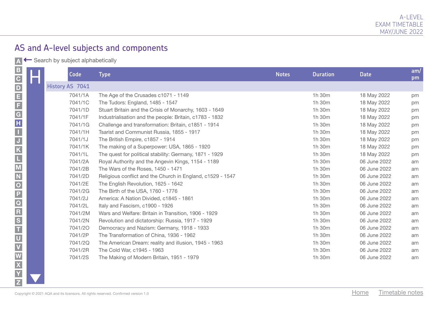A Search by subject alphabetically

| $\mathbf{B}$                    | $\mathcal{L}^{\mathcal{L}}$ | Code            | <b>Type</b>                                                | <b>Notes</b> | <b>Duration</b> | <b>Date</b>  | am/<br>pm |
|---------------------------------|-----------------------------|-----------------|------------------------------------------------------------|--------------|-----------------|--------------|-----------|
| < ⊂ ⊣ ∽ ק ס ק ק ק ק ק ק ק ה ס ס |                             | History AS 7041 |                                                            |              |                 |              |           |
|                                 |                             | 7041/1A         | The Age of the Crusades c1071 - 1149                       |              | 1h 30m          | 18 May 2022  | pm        |
|                                 |                             | 7041/1C         | The Tudors: England, 1485 - 1547                           |              | 1h 30m          | 18 May 2022  | pm        |
|                                 |                             | 7041/1D         | Stuart Britain and the Crisis of Monarchy, 1603 - 1649     |              | 1h 30m          | 18 May 2022  | pm        |
|                                 |                             | 7041/1F         | Industrialisation and the people: Britain, c1783 - 1832    |              | 1h 30m          | 18 May 2022  | pm        |
|                                 |                             | 7041/1G         | Challenge and transformation: Britain, c1851 - 1914        |              | 1h 30m          | 18 May 2022  | pm        |
|                                 |                             | 7041/1H         | Tsarist and Communist Russia, 1855 - 1917                  |              | 1h 30m          | 18 May 2022  | pm        |
|                                 |                             | 7041/1J         | The British Empire, c1857 - 1914                           |              | 1h 30m          | 18 May 2022  | pm        |
|                                 |                             | 7041/1K         | The making of a Superpower: USA, 1865 - 1920               |              | 1h 30m          | 18 May 2022  | pm        |
|                                 |                             | 7041/1L         | The quest for political stability: Germany, 1871 - 1929    |              | 1h 30m          | 18 May 2022  | pm        |
|                                 |                             | 7041/2A         | Royal Authority and the Angevin Kings, 1154 - 1189         |              | 1h 30m          | 06 June 2022 | am        |
|                                 |                             | 7041/2B         | The Wars of the Roses, 1450 - 1471                         |              | 1h 30m          | 06 June 2022 | am        |
|                                 |                             | 7041/2D         | Religious conflict and the Church in England, c1529 - 1547 |              | 1h 30m          | 06 June 2022 | am        |
|                                 |                             | 7041/2E         | The English Revolution, 1625 - 1642                        |              | 1h 30m          | 06 June 2022 | am        |
|                                 |                             | 7041/2G         | The Birth of the USA, 1760 - 1776                          |              | 1h 30m          | 06 June 2022 | am        |
|                                 |                             | 7041/2J         | America: A Nation Divided, c1845 - 1861                    |              | 1h 30m          | 06 June 2022 | am        |
|                                 |                             | 7041/2L         | Italy and Fascism, c1900 - 1926                            |              | 1h 30m          | 06 June 2022 | am        |
|                                 |                             | 7041/2M         | Wars and Welfare: Britain in Transition, 1906 - 1929       |              | 1h 30m          | 06 June 2022 | am        |
|                                 |                             | 7041/2N         | Revolution and dictatorship: Russia, 1917 - 1929           |              | 1h 30m          | 06 June 2022 | am        |
|                                 |                             | 7041/20         | Democracy and Nazism: Germany, 1918 - 1933                 |              | 1h 30m          | 06 June 2022 | am        |
|                                 |                             | 7041/2P         | The Transformation of China, 1936 - 1962                   |              | 1h 30m          | 06 June 2022 | am        |
|                                 |                             | 7041/2Q         | The American Dream: reality and illusion, 1945 - 1963      |              | 1h 30m          | 06 June 2022 | am        |
|                                 |                             | 7041/2R         | The Cold War, c1945 - 1963                                 |              | 1h 30m          | 06 June 2022 | am        |
|                                 |                             | 7041/2S         | The Making of Modern Britain, 1951 - 1979                  |              | 1h 30m          | 06 June 2022 | am        |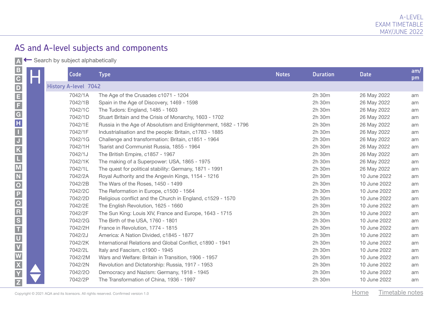A ← Search by subject alphabetically

K J

I

M

W X

Y Z

| <u>В С D Е F G H I - J К L M N O P Q R S T U V W </u> | <b>I</b> | Code                        | <b>Type</b>                                                                        |                                                                | <b>Notes</b> | <b>Duration</b><br><b>Date</b> |                 | am/<br>pm |
|-------------------------------------------------------|----------|-----------------------------|------------------------------------------------------------------------------------|----------------------------------------------------------------|--------------|--------------------------------|-----------------|-----------|
|                                                       |          | <b>History A-level 7042</b> |                                                                                    |                                                                |              |                                |                 |           |
|                                                       |          | 7042/1A                     |                                                                                    | The Age of the Crusades c1071 - 1204                           | 2h 30m       |                                | 26 May 2022     | am        |
|                                                       |          | 7042/1B                     |                                                                                    | Spain in the Age of Discovery, 1469 - 1598                     | 2h 30m       |                                | 26 May 2022     | am        |
|                                                       |          | 7042/1C                     |                                                                                    | The Tudors: England, 1485 - 1603                               | 2h 30m       |                                | 26 May 2022     | am        |
|                                                       |          | 7042/1D                     |                                                                                    | Stuart Britain and the Crisis of Monarchy, 1603 - 1702         | 2h 30m       |                                | 26 May 2022     | am        |
|                                                       |          | 7042/1E                     |                                                                                    | Russia in the Age of Absolutism and Enlightenment, 1682 - 1796 | 2h 30m       |                                | 26 May 2022     | am        |
|                                                       |          | 7042/1F                     |                                                                                    | Industrialisation and the people: Britain, c1783 - 1885        | 2h 30m       |                                | 26 May 2022     | am        |
|                                                       |          | 7042/1G                     |                                                                                    | Challenge and transformation: Britain, c1851 - 1964            | 2h 30m       |                                | 26 May 2022     | am        |
|                                                       |          | 7042/1H                     |                                                                                    | Tsarist and Communist Russia, 1855 - 1964                      | 2h 30m       |                                | 26 May 2022     | am        |
|                                                       |          | 7042/1J                     |                                                                                    | The British Empire, c1857 - 1967                               | 2h 30m       |                                | 26 May 2022     | am        |
|                                                       |          | 7042/1K                     |                                                                                    | The making of a Superpower: USA, 1865 - 1975                   | 2h 30m       |                                | 26 May 2022     | am        |
|                                                       |          | 7042/1L                     |                                                                                    | The quest for political stability: Germany, 1871 - 1991        | 2h 30m       |                                | 26 May 2022     | am        |
|                                                       |          | 7042/2A                     |                                                                                    | Royal Authority and the Angevin Kings, 1154 - 1216             | 2h 30m       |                                | 10 June 2022    | am        |
|                                                       |          | 7042/2B                     |                                                                                    | The Wars of the Roses, 1450 - 1499                             | 2h 30m       |                                | 10 June 2022    | am        |
|                                                       |          | 7042/2C                     |                                                                                    | The Reformation in Europe, c1500 - 1564                        | 2h 30m       |                                | 10 June 2022    | am        |
|                                                       |          | 7042/2D                     |                                                                                    | Religious conflict and the Church in England, c1529 - 1570     | 2h 30m       |                                | 10 June 2022    | am        |
|                                                       |          | 7042/2E                     |                                                                                    | The English Revolution, 1625 - 1660                            | 2h 30m       |                                | 10 June 2022    | am        |
|                                                       |          | 7042/2F                     |                                                                                    | The Sun King: Louis XIV, France and Europe, 1643 - 1715        |              | 2h 30m                         | 10 June 2022    | am        |
|                                                       |          | 7042/2G                     |                                                                                    | The Birth of the USA, 1760 - 1801                              | 2h 30m       |                                | 10 June 2022    | am        |
|                                                       |          | 7042/2H                     |                                                                                    | France in Revolution, 1774 - 1815                              | 2h 30m       |                                | 10 June 2022    | am        |
|                                                       |          | 7042/2J                     |                                                                                    | America: A Nation Divided, c1845 - 1877                        | 2h 30m       |                                | 10 June 2022    | am        |
|                                                       |          | 7042/2K                     |                                                                                    | International Relations and Global Conflict, c1890 - 1941      | 2h 30m       |                                | 10 June 2022    | am        |
|                                                       |          | 7042/2L                     |                                                                                    | Italy and Fascism, c1900 - 1945                                | 2h 30m       |                                | 10 June 2022    | am        |
|                                                       |          | 7042/2M                     |                                                                                    | Wars and Welfare: Britain in Transition, 1906 - 1957           | 2h 30m       |                                | 10 June 2022    | am        |
|                                                       |          | 7042/2N                     |                                                                                    | Revolution and Dictatorship: Russia, 1917 - 1953               | 2h 30m       |                                | 10 June 2022    | am        |
|                                                       |          | 7042/20                     |                                                                                    | Democracy and Nazism: Germany, 1918 - 1945                     | 2h 30m       |                                | 10 June 2022    | am        |
|                                                       |          | 7042/2P                     |                                                                                    | The Transformation of China, 1936 - 1997                       | 2h 30m       |                                | 10 June 2022    | am        |
|                                                       |          |                             | Copyright © 2021 AQA and its licensors. All rights reserved. Confirmed version 1.0 |                                                                |              | Home                           | Timetable notes |           |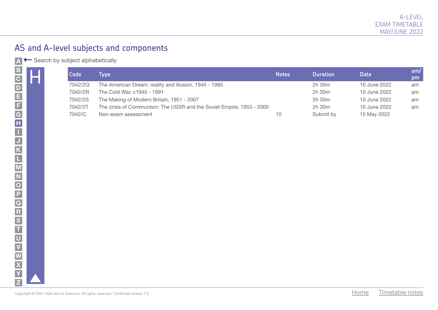A Gearch by subject alphabetically

| В С D E F G H I - J K L M N O P Q R S T U |  | Code    | <b>Type</b>                                                          | <b>Notes</b> | <b>Duration</b> | <b>Date</b>  | am/<br>pm |
|-------------------------------------------|--|---------|----------------------------------------------------------------------|--------------|-----------------|--------------|-----------|
|                                           |  | 7042/2Q | The American Dream: reality and illusion, 1945 - 1980                |              | 2h 30m          | 10 June 2022 | am        |
|                                           |  | 7042/2R | The Cold War, c1945 - 1991                                           |              | 2h 30m          | 10 June 2022 | am        |
|                                           |  | 7042/2S | The Making of Modern Britain, 1951 - 2007                            |              | 2h 30m          | 10 June 2022 | am        |
|                                           |  | 7042/2T | The crisis of Communism: The USSR and the Soviet Empire, 1953 - 2000 |              | 2h 30m          | 10 June 2022 | am        |
|                                           |  | 7042/C  | Non-exam assessment                                                  | 10           | Submit by       | 15 May 2022  |           |
|                                           |  |         |                                                                      |              |                 |              |           |
|                                           |  |         |                                                                      |              |                 |              |           |
|                                           |  |         |                                                                      |              |                 |              |           |
|                                           |  |         |                                                                      |              |                 |              |           |
|                                           |  |         |                                                                      |              |                 |              |           |
|                                           |  |         |                                                                      |              |                 |              |           |
|                                           |  |         |                                                                      |              |                 |              |           |
|                                           |  |         |                                                                      |              |                 |              |           |
|                                           |  |         |                                                                      |              |                 |              |           |
|                                           |  |         |                                                                      |              |                 |              |           |
|                                           |  |         |                                                                      |              |                 |              |           |
|                                           |  |         |                                                                      |              |                 |              |           |
|                                           |  |         |                                                                      |              |                 |              |           |
|                                           |  |         |                                                                      |              |                 |              |           |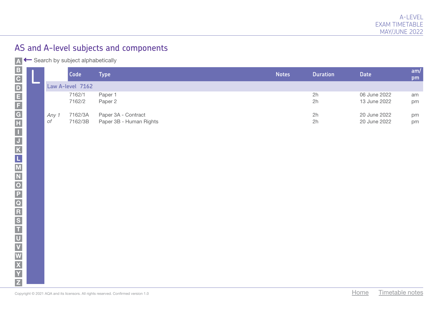A ← Search by subject alphabetically

|                                                                                                   |  |                                 | Code               | <b>Type</b>                                    | <b>Notes</b> | <b>Duration</b> | <b>Date</b>                  |                 | am/<br>pm |
|---------------------------------------------------------------------------------------------------|--|---------------------------------|--------------------|------------------------------------------------|--------------|-----------------|------------------------------|-----------------|-----------|
|                                                                                                   |  |                                 | Law A-level 7162   |                                                |              |                 |                              |                 |           |
|                                                                                                   |  |                                 | 7162/1<br>7162/2   | Paper 1<br>Paper 2                             |              | 2h<br>2h        | 06 June 2022<br>13 June 2022 |                 | am<br>pm  |
| N   X   X   X   X   C   H   Ø   7   Ø   7   Ø   7   Ø   7   A   H   H   A   H   A   M   M   M   W |  | Any 1<br>$\mathop{\mathsf{of}}$ | 7162/3A<br>7162/3B | Paper 3A - Contract<br>Paper 3B - Human Rights |              | 2h<br>2h        | 20 June 2022<br>20 June 2022 |                 | pm<br>pm  |
|                                                                                                   |  |                                 |                    |                                                |              |                 |                              |                 |           |
|                                                                                                   |  |                                 |                    |                                                |              |                 |                              |                 |           |
|                                                                                                   |  |                                 |                    |                                                |              |                 |                              |                 |           |
|                                                                                                   |  |                                 |                    |                                                |              |                 |                              |                 |           |
|                                                                                                   |  |                                 |                    |                                                |              |                 |                              |                 |           |
|                                                                                                   |  |                                 |                    |                                                |              |                 |                              |                 |           |
|                                                                                                   |  |                                 |                    |                                                |              |                 |                              |                 |           |
|                                                                                                   |  |                                 |                    |                                                |              |                 |                              |                 |           |
|                                                                                                   |  |                                 |                    |                                                |              |                 |                              |                 |           |
| Home<br>Copyright © 2021 AQA and its licensors. All rights reserved. Confirmed version 1.0        |  |                                 |                    |                                                |              |                 |                              | Timetable notes |           |

Z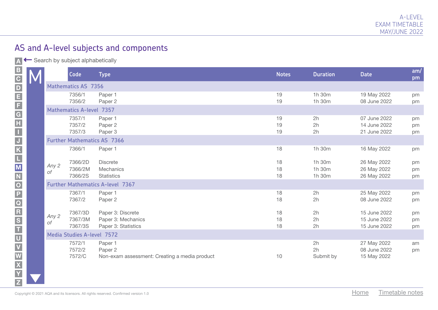A Search by subject alphabetically

|  |                                         | Code                               | <b>Type</b>                                                         | <b>Notes</b>   | <b>Duration</b>            | <b>Date</b>                                  | am/<br>pm      |  |  |
|--|-----------------------------------------|------------------------------------|---------------------------------------------------------------------|----------------|----------------------------|----------------------------------------------|----------------|--|--|
|  |                                         | <b>Mathematics AS 7356</b>         |                                                                     |                |                            |                                              |                |  |  |
|  |                                         | 7356/1<br>7356/2                   | Paper 1<br>Paper 2                                                  | 19<br>19       | 1h 30m<br>1h 30m           | 19 May 2022<br>08 June 2022                  | pm<br>pm       |  |  |
|  |                                         | <b>Mathematics A-level 7357</b>    |                                                                     |                |                            |                                              |                |  |  |
|  |                                         | 7357/1<br>7357/2<br>7357/3         | Paper 1<br>Paper 2<br>Paper 3                                       | 19<br>19<br>19 | 2h<br>2h<br>2h             | 07 June 2022<br>14 June 2022<br>21 June 2022 | pm<br>pm<br>pm |  |  |
|  |                                         | <b>Further Mathematics AS 7366</b> |                                                                     |                |                            |                                              |                |  |  |
|  |                                         | 7366/1                             | Paper 1                                                             | 18             | 1h 30m                     | 16 May 2022                                  | pm             |  |  |
|  | Any 2<br>оf                             | 7366/2D<br>7366/2M<br>7366/2S      | <b>Discrete</b><br><b>Mechanics</b><br><b>Statistics</b>            | 18<br>18<br>18 | 1h 30m<br>1h 30m<br>1h 30m | 26 May 2022<br>26 May 2022<br>26 May 2022    | pm<br>pm<br>pm |  |  |
|  | <b>Further Mathematics A-level 7367</b> |                                    |                                                                     |                |                            |                                              |                |  |  |
|  |                                         | 7367/1<br>7367/2                   | Paper 1<br>Paper 2                                                  | 18<br>18       | 2h<br>2h                   | 25 May 2022<br>08 June 2022                  | pm<br>pm       |  |  |
|  | Any 2<br>оf                             | 7367/3D<br>7367/3M<br>7367/3S      | Paper 3: Discrete<br>Paper 3: Mechanics<br>Paper 3: Statistics      | 18<br>18<br>18 | 2h<br>2h<br>2h             | 15 June 2022<br>15 June 2022<br>15 June 2022 | pm<br>pm<br>pm |  |  |
|  |                                         | Media Studies A-level 7572         |                                                                     |                |                            |                                              |                |  |  |
|  |                                         | 7572/1<br>7572/2<br>7572/C         | Paper 1<br>Paper 2<br>Non-exam assessment: Creating a media product | 10             | 2h<br>2h<br>Submit by      | 27 May 2022<br>08 June 2022<br>15 May 2022   | am<br>pm       |  |  |

X|N|N|O|P|Q|R|S|T|U|V|W|X|Y|Z

R<br>S<br>T<br>T

M<br>N

 $\overline{\overline{o}}$ 

 $\frac{\overline{P}}{\overline{Q}}$ 

ABCDEFGHIJKLMNOPQRS

 $\blacksquare$  $\overline{J}$  $\overline{\mathsf{K}}$  $\Box$ 

 $\begin{array}{c} \hline \textbf{G} \\ \textbf{H} \end{array}$ 

 $|B|$ 

C<br>
E<br>
F<br>
E<br>
F

U

V  $\overline{\mathbf{w}}$  $\overline{\mathbf{x}}$ Y  $\overline{z}$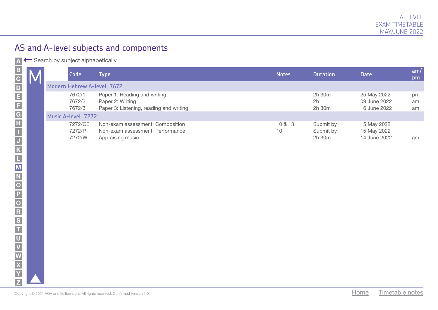A Search by subject alphabetically

|  | Code                        | Type                                                                                        | <b>Notes</b>  | <b>Duration</b>                       | <b>Date</b>                                 | $\mathsf{am}/\mathsf{I}$<br>pm |
|--|-----------------------------|---------------------------------------------------------------------------------------------|---------------|---------------------------------------|---------------------------------------------|--------------------------------|
|  | Modern Hebrew A-level 7672  |                                                                                             |               |                                       |                                             |                                |
|  | 7672/1<br>7672/2<br>7672/3  | Paper 1: Reading and writing<br>Paper 2: Writing<br>Paper 3: Listening, reading and writing |               | 2h 30m<br>2h<br>$2h$ 30 $m$           | 25 May 2022<br>09 June 2022<br>16 June 2022 | pm<br>am<br>am                 |
|  | <b>Music A-level 7272</b>   |                                                                                             |               |                                       |                                             |                                |
|  | 7272/CE<br>7272/P<br>7272/W | Non-exam assessment: Composition<br>Non-exam assessment: Performance<br>Appraising music    | 10 & 13<br>10 | Submit by<br>Submit by<br>$2h$ 30 $m$ | 15 May 2022<br>15 May 2022<br>14 June 2022  | am                             |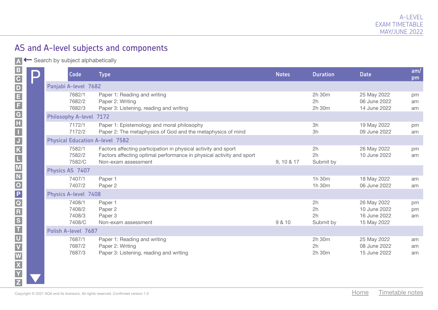A ← Search by subject alphabetically

| $\boldsymbol{\mathsf{P}}$ | Code                                 | <b>Type</b>                                                                                                                                                   | <b>Notes</b> | <b>Duration</b>             | <b>Date</b>                                                | am/<br>pm      |
|---------------------------|--------------------------------------|---------------------------------------------------------------------------------------------------------------------------------------------------------------|--------------|-----------------------------|------------------------------------------------------------|----------------|
|                           | Panjabi A-level 7682                 |                                                                                                                                                               |              |                             |                                                            |                |
|                           | 7682/1<br>7682/2<br>7682/3           | Paper 1: Reading and writing<br>Paper 2: Writing<br>Paper 3: Listening, reading and writing                                                                   |              | 2h 30m<br>2h<br>2h 30m      | 25 May 2022<br>06 June 2022<br>14 June 2022                | pm<br>am<br>am |
|                           | <b>Philosophy A-level 7172</b>       |                                                                                                                                                               |              |                             |                                                            |                |
|                           | 7172/1<br>7172/2                     | Paper 1: Epistemology and moral philosophy<br>Paper 2: The metaphysics of God and the metaphysics of mind                                                     |              | 3h<br>3h                    | 19 May 2022<br>09 June 2022                                | pm<br>am       |
|                           |                                      | <b>Physical Education A-level 7582</b>                                                                                                                        |              |                             |                                                            |                |
|                           | 7582/1<br>7582/2<br>7582/C           | Factors affecting participation in physical activity and sport<br>Factors affecting optimal performance in physical activity and sport<br>Non-exam assessment | 9, 10 & 17   | 2h<br>2h<br>Submit by       | 26 May 2022<br>10 June 2022                                | pm<br>am       |
|                           | Physics AS 7407                      |                                                                                                                                                               |              |                             |                                                            |                |
|                           | 7407/1<br>7407/2                     | Paper 1<br>Paper 2                                                                                                                                            |              | 1h 30m<br>1h 30m            | 18 May 2022<br>06 June 2022                                | am<br>am       |
|                           | <b>Physics A-level 7408</b>          |                                                                                                                                                               |              |                             |                                                            |                |
|                           | 7408/1<br>7408/2<br>7408/3<br>7408/C | Paper 1<br>Paper 2<br>Paper 3<br>Non-exam assessment                                                                                                          | 9 & 10       | 2h<br>2h<br>2h<br>Submit by | 26 May 2022<br>10 June 2022<br>16 June 2022<br>15 May 2022 | pm<br>pm<br>am |
|                           | Polish A-level 7687                  |                                                                                                                                                               |              |                             |                                                            |                |
|                           | 7687/1<br>7687/2<br>7687/3           | Paper 1: Reading and writing<br>Paper 2: Writing<br>Paper 3: Listening, reading and writing                                                                   |              | 2h 30m<br>2h<br>2h 30m      | 25 May 2022<br>08 June 2022<br>15 June 2022                | am<br>am<br>am |
|                           |                                      | Copyright © 2021 AQA and its licensors. All rights reserved. Confirmed version 1.0                                                                            |              |                             | Timetable notes<br>Home                                    |                |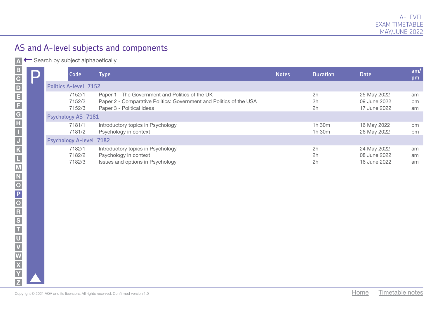A ← Search by subject alphabetically

| $\Box$ | Code                           | <b>Type</b>                                                                                                                                        | <b>Notes</b> | <b>Duration</b>  | <b>Date</b>                                 | am/<br>pm      |
|--------|--------------------------------|----------------------------------------------------------------------------------------------------------------------------------------------------|--------------|------------------|---------------------------------------------|----------------|
|        | <b>Politics A-level 7152</b>   |                                                                                                                                                    |              |                  |                                             |                |
|        | 7152/1<br>7152/2<br>7152/3     | Paper 1 - The Government and Politics of the UK<br>Paper 2 - Comparative Politics: Government and Politics of the USA<br>Paper 3 - Political Ideas |              | 2h<br>2h<br>2h   | 25 May 2022<br>09 June 2022<br>17 June 2022 | am<br>pm<br>am |
|        | Psychology AS 7181             |                                                                                                                                                    |              |                  |                                             |                |
|        | 7181/1<br>7181/2               | Introductory topics in Psychology<br>Psychology in context                                                                                         |              | 1h 30m<br>1h 30m | 16 May 2022<br>26 May 2022                  | pm<br>pm       |
|        | <b>Psychology A-level 7182</b> |                                                                                                                                                    |              |                  |                                             |                |
|        | 7182/1<br>7182/2<br>7182/3     | Introductory topics in Psychology<br>Psychology in context<br>Issues and options in Psychology                                                     |              | 2h<br>2h<br>2h   | 24 May 2022<br>08 June 2022<br>16 June 2022 | am<br>am<br>am |
|        |                                | Copyright © 2021 AQA and its licensors. All rights reserved. Confirmed version 1.0                                                                 |              |                  | Timetable notes<br>Home                     |                |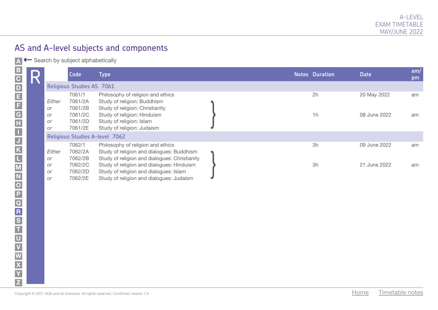A Gearch by subject alphabetically

| D<br>IN |                             | Code                             | <b>Type</b>                                                                                                                          |  | <b>Notes Duration</b> | <b>Date</b>  | am/<br>pm |
|---------|-----------------------------|----------------------------------|--------------------------------------------------------------------------------------------------------------------------------------|--|-----------------------|--------------|-----------|
|         |                             | <b>Religious Studies AS 7061</b> |                                                                                                                                      |  |                       |              |           |
|         | Either                      | 7061/1<br>7061/2A<br>7061/2B     | Philosophy of religion and ethics<br>Study of religion: Buddhism                                                                     |  | 2h                    | 20 May 2022  | am        |
|         | or<br>or<br><b>or</b><br>or | 7061/2C<br>7061/2D<br>7061/2E    | Study of religion: Christianity<br>Study of religion: Hinduism<br>Study of religion: Islam<br>Study of religion: Judaism             |  | 1h                    | 08 June 2022 | am        |
|         |                             |                                  | <b>Religious Studies A-level 7062</b>                                                                                                |  |                       |              |           |
|         | Either                      | 7062/1<br>7062/2A                | Philosophy of religion and ethics<br>Study of religion and dialogues: Buddhism                                                       |  | 3h                    | 09 June 2022 | am        |
|         | or<br>or<br>or              | 7062/2B<br>7062/2C<br>7062/2D    | Study of religion and dialogues: Christianity<br>Study of religion and dialogues: Hinduism<br>Study of religion and dialogues: Islam |  | 3h                    | 21 June 2022 | am        |
|         | or                          | 7062/2E                          | Study of religion and dialogues: Judaism                                                                                             |  |                       |              |           |
|         |                             |                                  |                                                                                                                                      |  |                       |              |           |
|         |                             |                                  |                                                                                                                                      |  |                       |              |           |
|         |                             |                                  |                                                                                                                                      |  |                       |              |           |
|         |                             |                                  |                                                                                                                                      |  |                       |              |           |
|         |                             |                                  |                                                                                                                                      |  |                       |              |           |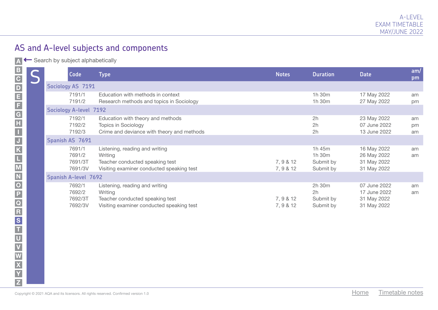A Gearch by subject alphabetically

| <b>Code</b>                            | Type                                                                                                                      | <b>Notes</b>           | <b>Duration</b>                            | <b>Date</b>                                                | am/<br>pm      |
|----------------------------------------|---------------------------------------------------------------------------------------------------------------------------|------------------------|--------------------------------------------|------------------------------------------------------------|----------------|
| Sociology AS 7191                      |                                                                                                                           |                        |                                            |                                                            |                |
| 7191/1<br>7191/2                       | Education with methods in context<br>Research methods and topics in Sociology                                             |                        | 1h 30m<br>1h 30m                           | 17 May 2022<br>27 May 2022                                 | am<br>pm       |
| <b>Sociology A-level 7192</b>          |                                                                                                                           |                        |                                            |                                                            |                |
| 7192/1<br>7192/2<br>7192/3             | Education with theory and methods<br><b>Topics in Sociology</b><br>Crime and deviance with theory and methods             |                        | 2h<br>2h<br>2h                             | 23 May 2022<br>07 June 2022<br>13 June 2022                | am<br>pm<br>am |
| Spanish AS 7691                        |                                                                                                                           |                        |                                            |                                                            |                |
| 7691/1<br>7691/2<br>7691/3T<br>7691/3V | Listening, reading and writing<br>Writing<br>Teacher conducted speaking test<br>Visiting examiner conducted speaking test | 7, 9 & 12<br>7, 9 & 12 | 1h 45m<br>1h 30m<br>Submit by<br>Submit by | 16 May 2022<br>26 May 2022<br>31 May 2022<br>31 May 2022   | am<br>am       |
| <b>Spanish A-level 7692</b>            |                                                                                                                           |                        |                                            |                                                            |                |
| 7692/1<br>7692/2<br>7692/3T<br>7692/3V | Listening, reading and writing<br>Writing<br>Teacher conducted speaking test<br>Visiting examiner conducted speaking test | 7, 9 & 12<br>7, 9 & 12 | 2h 30m<br>2h<br>Submit by<br>Submit by     | 07 June 2022<br>17 June 2022<br>31 May 2022<br>31 May 2022 | am<br>am       |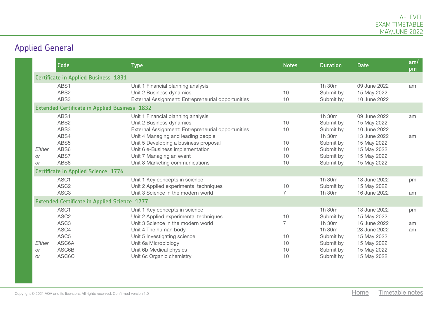# Applied General

|                                  | Code                                                         | <b>Type</b>                                                                                                                                                                                                                                                                                            | <b>Notes</b>                     | <b>Duration</b>                                                                                | <b>Date</b>                                                                                                             | am/<br>pm      |
|----------------------------------|--------------------------------------------------------------|--------------------------------------------------------------------------------------------------------------------------------------------------------------------------------------------------------------------------------------------------------------------------------------------------------|----------------------------------|------------------------------------------------------------------------------------------------|-------------------------------------------------------------------------------------------------------------------------|----------------|
|                                  | <b>Certificate in Applied Business 1831</b>                  |                                                                                                                                                                                                                                                                                                        |                                  |                                                                                                |                                                                                                                         |                |
|                                  | ABS1<br>ABS2<br>ABS3                                         | Unit 1 Financial planning analysis<br>Unit 2 Business dynamics<br>External Assignment: Entrepreneurial opportunities                                                                                                                                                                                   | 10<br>10                         | 1h 30m<br>Submit by<br>Submit by                                                               | 09 June 2022<br>15 May 2022<br>10 June 2022                                                                             | am             |
|                                  | <b>Extended Certificate in Applied Business 1832</b>         |                                                                                                                                                                                                                                                                                                        |                                  |                                                                                                |                                                                                                                         |                |
| Either<br><b>or</b><br><b>or</b> | ABS1<br>ABS2<br>ABS3<br>ABS4<br>ABS5<br>ABS6<br>ABS7<br>ABS8 | Unit 1 Financial planning analysis<br>Unit 2 Business dynamics<br>External Assignment: Entrepreneurial opportunities<br>Unit 4 Managing and leading people<br>Unit 5 Developing a business proposal<br>Unit 6 e-Business implementation<br>Unit 7 Managing an event<br>Unit 8 Marketing communications | 10<br>10<br>10<br>10<br>10<br>10 | 1h 30m<br>Submit by<br>Submit by<br>1h 30m<br>Submit by<br>Submit by<br>Submit by<br>Submit by | 09 June 2022<br>15 May 2022<br>10 June 2022<br>13 June 2022<br>15 May 2022<br>15 May 2022<br>15 May 2022<br>15 May 2022 | am<br>am       |
|                                  | <b>Certificate in Applied Science 1776</b>                   |                                                                                                                                                                                                                                                                                                        |                                  |                                                                                                |                                                                                                                         |                |
|                                  | ASC1<br>ASC <sub>2</sub><br>ASC <sub>3</sub>                 | Unit 1 Key concepts in science<br>Unit 2 Applied experimental techniques<br>Unit 3 Science in the modern world                                                                                                                                                                                         | 10<br>$\overline{7}$             | 1h 30m<br>Submit by<br>1h 30m                                                                  | 13 June 2022<br>15 May 2022<br>16 June 2022                                                                             | pm<br>am       |
|                                  | <b>Extended Certificate in Applied Science 1777</b>          |                                                                                                                                                                                                                                                                                                        |                                  |                                                                                                |                                                                                                                         |                |
|                                  | ASC1<br>ASC <sub>2</sub><br>ASC <sub>3</sub><br>ASC4         | Unit 1 Key concepts in science<br>Unit 2 Applied experimental techniques<br>Unit 3 Science in the modern world<br>Unit 4 The human body                                                                                                                                                                | 10                               | 1h 30m<br>Submit by<br>1h 30m<br>1h 30m                                                        | 13 June 2022<br>15 May 2022<br>16 June 2022<br>23 June 2022                                                             | pm<br>am<br>am |
| Either<br><b>or</b><br>or        | ASC <sub>5</sub><br>ASC6A<br>ASC6B<br>ASC6C                  | Unit 5 Investigating science<br>Unit 6a Microbiology<br>Unit 6b Medical physics<br>Unit 6c Organic chemistry                                                                                                                                                                                           | 10<br>10<br>10<br>10             | Submit by<br>Submit by<br>Submit by<br>Submit by                                               | 15 May 2022<br>15 May 2022<br>15 May 2022<br>15 May 2022                                                                |                |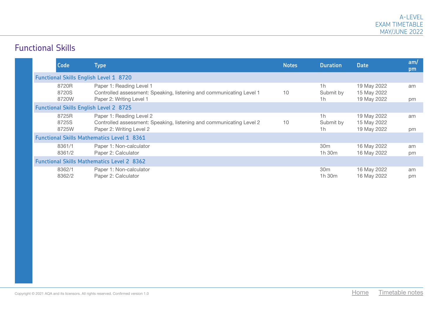#### Functional Skills

|  | Code                    | Type                                                                                                                         | <b>Notes</b> | <b>Duration</b>                | <b>Date</b>                               | am/<br>pm |
|--|-------------------------|------------------------------------------------------------------------------------------------------------------------------|--------------|--------------------------------|-------------------------------------------|-----------|
|  |                         | <b>Functional Skills English Level 1 8720</b>                                                                                |              |                                |                                           |           |
|  | 8720R<br>8720S<br>8720W | Paper 1: Reading Level 1<br>Controlled assessment: Speaking, listening and communicating Level 1<br>Paper 2: Writing Level 1 | 10           | 1h<br>Submit by<br>1h          | 19 May 2022<br>15 May 2022<br>19 May 2022 | am<br>pm  |
|  |                         | <b>Functional Skills English Level 2 8725</b>                                                                                |              |                                |                                           |           |
|  | 8725R<br>8725S<br>8725W | Paper 1: Reading Level 2<br>Controlled assessment: Speaking, listening and communicating Level 2<br>Paper 2: Writing Level 2 | 10           | 1h<br>Submit by<br>1h          | 19 May 2022<br>15 May 2022<br>19 May 2022 | am<br>pm  |
|  |                         | <b>Functional Skills Mathematics Level 1 8361</b>                                                                            |              |                                |                                           |           |
|  | 8361/1<br>8361/2        | Paper 1: Non-calculator<br>Paper 2: Calculator                                                                               |              | 30 <sub>m</sub><br>$1h$ 30 $m$ | 16 May 2022<br>16 May 2022                | am<br>pm  |
|  |                         | <b>Functional Skills Mathematics Level 2 8362</b>                                                                            |              |                                |                                           |           |
|  | 8362/1<br>8362/2        | Paper 1: Non-calculator<br>Paper 2: Calculator                                                                               |              | 30 <sub>m</sub><br>1h 30m      | 16 May 2022<br>16 May 2022                | am<br>pm  |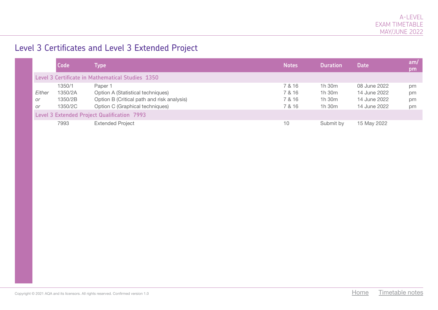#### Level 3 Certificates and Level 3 Extended Project

|                           | Code                                    | Type                                                                                                                          | <b>Notes</b>                         | <b>Duration</b>                      | <b>Date</b>                                                  | am/<br>pm            |
|---------------------------|-----------------------------------------|-------------------------------------------------------------------------------------------------------------------------------|--------------------------------------|--------------------------------------|--------------------------------------------------------------|----------------------|
|                           |                                         | Level 3 Certificate in Mathematical Studies 1350                                                                              |                                      |                                      |                                                              |                      |
| Either<br>or<br><b>or</b> | 1350/1<br>1350/2A<br>1350/2B<br>1350/2C | Paper 1<br>Option A (Statistical techniques)<br>Option B (Critical path and risk analysis)<br>Option C (Graphical techniques) | 7 & 16<br>7 & 16<br>7 & 16<br>7 & 16 | 1h 30m<br>1h 30m<br>1h 30m<br>1h 30m | 08 June 2022<br>14 June 2022<br>14 June 2022<br>14 June 2022 | pm<br>pm<br>pm<br>pm |
|                           |                                         | <b>Level 3 Extended Project Qualification 7993</b>                                                                            |                                      |                                      |                                                              |                      |
|                           | 7993                                    | <b>Extended Project</b>                                                                                                       | 10                                   | Submit by                            | 15 May 2022                                                  |                      |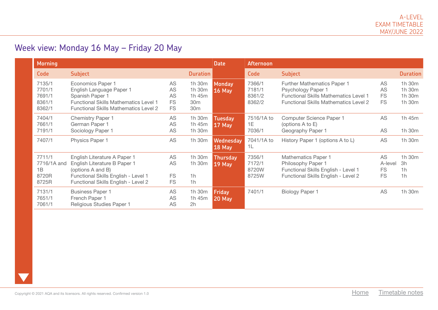# Week view: Monday 16 May – Friday 20 May

| <b>Morning</b>                                 |                                                                                                                                                                  |                                                 |                                                                  | <b>Date</b>                    | <b>Afternoon</b>                     |                                                                                                                                                          |                                         |                                                  |
|------------------------------------------------|------------------------------------------------------------------------------------------------------------------------------------------------------------------|-------------------------------------------------|------------------------------------------------------------------|--------------------------------|--------------------------------------|----------------------------------------------------------------------------------------------------------------------------------------------------------|-----------------------------------------|--------------------------------------------------|
| Code                                           | <b>Subject</b>                                                                                                                                                   |                                                 | <b>Duration</b>                                                  |                                | Code                                 | <b>Subject</b>                                                                                                                                           |                                         | <b>Duration</b>                                  |
| 7135/1<br>7701/1<br>7691/1<br>8361/1<br>8362/1 | Economics Paper 1<br>English Language Paper 1<br>Spanish Paper 1<br><b>Functional Skills Mathematics Level 1</b><br><b>Functional Skills Mathematics Level 2</b> | <b>AS</b><br>AS<br>AS<br><b>FS</b><br><b>FS</b> | 1h 30m<br>1h 30m<br>1h 45m<br>30 <sub>m</sub><br>30 <sub>m</sub> | <b>Monday</b><br><b>16 May</b> | 7366/1<br>7181/1<br>8361/2<br>8362/2 | <b>Further Mathematics Paper 1</b><br>Psychology Paper 1<br><b>Functional Skills Mathematics Level 1</b><br><b>Functional Skills Mathematics Level 2</b> | AS<br>AS<br><b>FS</b><br><b>FS</b>      | 1h 30m<br>1h 30m<br>1h 30m<br>1h 30m             |
| 7404/1<br>7661/1<br>7191/1                     | <b>Chemistry Paper 1</b><br>German Paper 1<br>Sociology Paper 1                                                                                                  | <b>AS</b><br>AS<br>AS                           | 1h 30m<br>1h 45m<br>1h 30m                                       | <b>Tuesday</b><br>$17$ May     | 7516/1A to<br>1E<br>7036/1           | Computer Science Paper 1<br>(options A to E)<br>Geography Paper 1                                                                                        | AS<br>AS                                | 1h 45m<br>1h 30m                                 |
| 7407/1                                         | Physics Paper 1                                                                                                                                                  | <b>AS</b>                                       | 1h 30m                                                           | Wednesday<br>18 May            | 7041/1A to<br>1L                     | History Paper 1 (options A to L)                                                                                                                         | AS                                      | 1h 30m                                           |
| 7711/1<br>7716/1A and<br>1B<br>8720R<br>8725R  | English Literature A Paper 1<br>English Literature B Paper 1<br>(options A and B)<br>Functional Skills English - Level 1<br>Functional Skills English - Level 2  | <b>AS</b><br>AS<br><b>FS</b><br><b>FS</b>       | 1h 30m<br>1h 30m<br>1 <sub>h</sub><br>1h                         | <b>Thursday</b><br>$19$ May    | 7356/1<br>7172/1<br>8720W<br>8725W   | <b>Mathematics Paper 1</b><br>Philosophy Paper 1<br>Functional Skills English - Level 1<br>Functional Skills English - Level 2                           | AS<br>A-level<br><b>FS</b><br><b>FS</b> | 1h 30m<br>3h<br>1 <sub>h</sub><br>1 <sub>h</sub> |
| 7131/1<br>7651/1<br>7061/1                     | <b>Business Paper 1</b><br>French Paper 1<br>Religious Studies Paper 1                                                                                           | <b>AS</b><br>AS<br>AS                           | 1h 30m<br>1h 45m<br>2h                                           | <b>Friday</b><br><b>20 May</b> | 7401/1                               | <b>Biology Paper 1</b>                                                                                                                                   | <b>AS</b>                               | 1h 30m                                           |

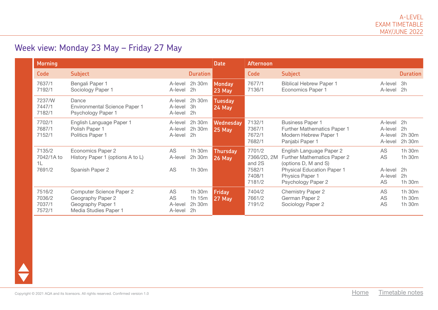# Week view: Monday 23 May – Friday 27 May

| <b>Morning</b>                       |                                                                                                    |                                              |                                  | <b>Date</b>                      | <b>Afternoon</b>                     |                                                                                                           |                                             |                            |
|--------------------------------------|----------------------------------------------------------------------------------------------------|----------------------------------------------|----------------------------------|----------------------------------|--------------------------------------|-----------------------------------------------------------------------------------------------------------|---------------------------------------------|----------------------------|
| <b>Code</b>                          | <b>Subject</b>                                                                                     |                                              | <b>Duration</b>                  |                                  | <b>Code</b>                          | <b>Subject</b>                                                                                            |                                             | <b>Duration</b>            |
| 7637/1<br>7192/1                     | Bengali Paper 1<br>Sociology Paper 1                                                               | A-level<br>A-level                           | 2h 30m<br>2h                     | <b>Monday</b><br><b>23 May</b>   | 7677/1<br>7136/1                     | <b>Biblical Hebrew Paper 1</b><br>Economics Paper 1                                                       | A-level 3h<br>A-level 2h                    |                            |
| 7237/W<br>7447/1<br>7182/1           | Dance<br><b>Environmental Science Paper 1</b><br>Psychology Paper 1                                | A-level<br>A-level                           | A-level 2h 30m<br>3h<br>2h       | <b>Tuesday</b><br><b>24 May</b>  |                                      |                                                                                                           |                                             |                            |
| 7702/1<br>7687/1<br>7152/1           | English Language Paper 1<br>Polish Paper 1<br>Politics Paper 1                                     | A-level<br>A-level<br>A-level                | 2h 30m<br>2h 30m<br>2h           | Wednesday<br><b>25 May</b>       | 7132/1<br>7367/1<br>7672/1<br>7682/1 | <b>Business Paper 1</b><br><b>Further Mathematics Paper 1</b><br>Modern Hebrew Paper 1<br>Panjabi Paper 1 | A-level 2h<br>A-level<br>A-level<br>A-level | 2h<br>2h 30m<br>2h 30m     |
| 7135/2<br>7042/1A to<br>1L           | Economics Paper 2<br>History Paper 1 (options A to L)                                              | <b>AS</b><br>A-level                         | 1h 30m<br>2h 30m                 | <b>Thursday</b><br><b>26 May</b> | 7701/2<br>7366/2D, 2M<br>and 2S      | English Language Paper 2<br>Further Mathematics Paper 2<br>(options D, M and S)                           | AS<br>AS                                    | 1h 30m<br>1h 30m           |
| 7691/2                               | Spanish Paper 2                                                                                    | <b>AS</b>                                    | 1h 30m                           |                                  | 7582/1<br>7408/1<br>7181/2           | <b>Physical Education Paper 1</b><br>Physics Paper 1<br>Psychology Paper 2                                | A-level 2h<br>A-level<br>AS                 | 2h<br>1h 30m               |
| 7516/2<br>7036/2<br>7037/1<br>7572/1 | <b>Computer Science Paper 2</b><br>Geography Paper 2<br>Geography Paper 1<br>Media Studies Paper 1 | <b>AS</b><br><b>AS</b><br>A-level<br>A-level | 1h 30m<br>1h 15m<br>2h 30m<br>2h | <b>Friday</b><br><b>27 May</b>   | 7404/2<br>7661/2<br>7191/2           | <b>Chemistry Paper 2</b><br>German Paper 2<br>Sociology Paper 2                                           | AS<br>AS<br>AS                              | 1h 30m<br>1h 30m<br>1h 30m |

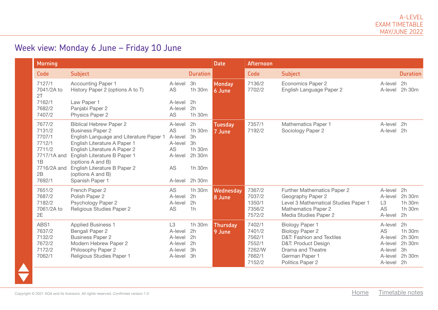## Week view: Monday 6 June – Friday 10 June

| <b>Morning</b><br><b>Date</b>                                                                      |                                                                                                                                                                                                                                                                                                   |                                                                       |                                                                  |                           | Afternoon                                                          |                                                                                                                                                                 |                                                                            |                                            |
|----------------------------------------------------------------------------------------------------|---------------------------------------------------------------------------------------------------------------------------------------------------------------------------------------------------------------------------------------------------------------------------------------------------|-----------------------------------------------------------------------|------------------------------------------------------------------|---------------------------|--------------------------------------------------------------------|-----------------------------------------------------------------------------------------------------------------------------------------------------------------|----------------------------------------------------------------------------|--------------------------------------------|
| Code                                                                                               | <b>Subject</b>                                                                                                                                                                                                                                                                                    |                                                                       | <b>Duration</b>                                                  |                           | <b>Code</b>                                                        | <b>Subject</b>                                                                                                                                                  |                                                                            | <b>Duration</b>                            |
| 7127/1<br>7041/2A to<br>2T                                                                         | <b>Accounting Paper 1</b><br>History Paper 2 (options A to T)                                                                                                                                                                                                                                     | A-level<br><b>AS</b>                                                  | 3h<br>1h 30m                                                     | <b>Monday</b><br>6 June   | 7136/2<br>7702/2                                                   | <b>Economics Paper 2</b><br>English Language Paper 2                                                                                                            | A-level 2h<br>A-level                                                      | 2h 30m                                     |
| 7162/1<br>7682/2<br>7407/2                                                                         | Law Paper 1<br>Panjabi Paper 2<br>Physics Paper 2                                                                                                                                                                                                                                                 | A-level<br>A-level<br><b>AS</b>                                       | 2h<br>2h<br>1h 30m                                               |                           |                                                                    |                                                                                                                                                                 |                                                                            |                                            |
| 7677/2<br>7131/2<br>7707/1<br>7712/1<br>7711/2<br>7717/1A and<br>1B<br>7716/2A and<br>2B<br>7692/1 | <b>Biblical Hebrew Paper 2</b><br><b>Business Paper 2</b><br>English Language and Literature Paper 1<br>English Literature A Paper 1<br>English Literature A Paper 2<br>English Literature B Paper 1<br>(options A and B)<br>English Literature B Paper 2<br>(options A and B)<br>Spanish Paper 1 | A-level<br>AS<br>A-level<br>A-level<br>AS<br>A-level<br>AS<br>A-level | 2h<br>1h 30m<br>3h<br>3h<br>1h 30m<br>2h 30m<br>1h 30m<br>2h 30m | <b>Tuesday</b><br>7 June  | 7357/1<br>7192/2                                                   | Mathematics Paper 1<br>Sociology Paper 2                                                                                                                        | A-level 2h<br>A-level                                                      | 2h                                         |
| 7651/2<br>7687/2<br>7182/2<br>7061/2A to<br>2E                                                     | French Paper 2<br>Polish Paper 2<br>Psychology Paper 2<br>Religious Studies Paper 2                                                                                                                                                                                                               | <b>AS</b><br>A-level<br>A-level<br>AS                                 | 1h 30m<br>2h<br>2h<br>1h                                         | Wednesday<br>8 June       | 7367/2<br>7037/2<br>1350/1<br>7356/2<br>7572/2                     | Further Mathematics Paper 2<br>Geography Paper 2<br>Level 3 Mathematical Studies Paper 1<br><b>Mathematics Paper 2</b><br>Media Studies Paper 2                 | A-level 2h<br>A-level<br>L3<br><b>AS</b><br>A-level 2h                     | 2h 30m<br>1h 30m<br>1h 30m                 |
| ABS1<br>7637/2<br>7132/2<br>7672/2<br>7172/2<br>7062/1                                             | <b>Applied Business 1</b><br>Bengali Paper 2<br><b>Business Paper 2</b><br>Modern Hebrew Paper 2<br>Philosophy Paper 2<br>Religious Studies Paper 1                                                                                                                                               | L <sub>3</sub><br>A-level<br>A-level<br>A-level<br>A-level<br>A-level | 1h 30m<br>2h<br>2h<br>2h<br>3h<br>3h                             | <b>Thursday</b><br>9 June | 7402/1<br>7401/2<br>7562/1<br>7552/1<br>7262/W<br>7662/1<br>7152/2 | <b>Biology Paper 1</b><br><b>Biology Paper 2</b><br>D&T: Fashion and Textiles<br>D&T: Product Design<br>Drama and Theatre<br>German Paper 1<br>Politics Paper 2 | A-level 2h<br>AS<br>A-level<br>A-level<br>A-level<br>A-level<br>A-level 2h | 1h 30m<br>2h 30m<br>2h 30m<br>3h<br>2h 30m |

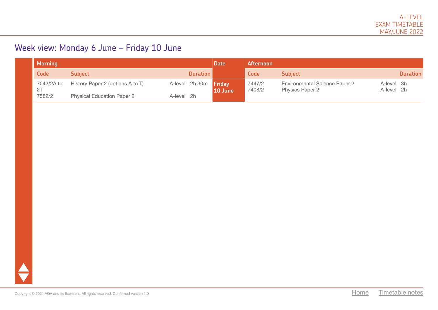## Week view: Monday 6 June – Friday 10 June

| <b>Morning</b>   | Date                              | <b>Afternoon</b>             |          |         |                  |                                                                |                          |                 |
|------------------|-----------------------------------|------------------------------|----------|---------|------------------|----------------------------------------------------------------|--------------------------|-----------------|
| Code             | <b>Subject</b>                    |                              | Duration |         | Code             | <b>Subject</b>                                                 |                          | <b>Duration</b> |
| 7042/2A to<br>2T | History Paper 2 (options A to T)  | A-level 2h 30m <b>Friday</b> |          | 10 June | 7447/2<br>7408/2 | <b>Environmental Science Paper 2</b><br><b>Physics Paper 2</b> | A-level 3h<br>A-level 2h |                 |
| 7582/2           | <b>Physical Education Paper 2</b> | A-level 2h                   |          |         |                  |                                                                |                          |                 |

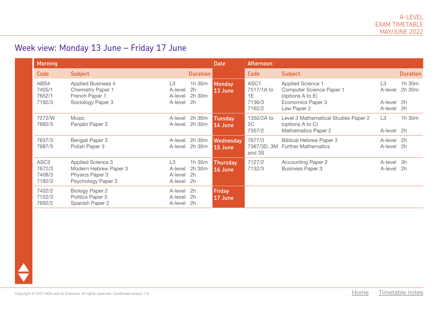## Week view: Monday 13 June – Friday 17 June

| <b>Morning</b>                                 |                                                                                              |                                                 | <b>Date</b>                  | <b>Afternoon</b>            |                                              |                                                                                                              |                                           |                  |
|------------------------------------------------|----------------------------------------------------------------------------------------------|-------------------------------------------------|------------------------------|-----------------------------|----------------------------------------------|--------------------------------------------------------------------------------------------------------------|-------------------------------------------|------------------|
| Code                                           | <b>Subject</b>                                                                               |                                                 | <b>Duration</b>              |                             | <b>Code</b>                                  | <b>Subject</b>                                                                                               |                                           | <b>Duration</b>  |
| ABS4<br>7405/1<br>7652/1<br>7192/3             | <b>Applied Business 4</b><br><b>Chemistry Paper 1</b><br>French Paper 1<br>Sociology Paper 3 | L <sub>3</sub><br>A-level<br>A-level<br>A-level | 1h 30m<br>2h<br>2h 30m<br>2h | <b>Monday</b><br>13 June    | ASC1<br>7517/1A to<br>1E<br>7136/3<br>7162/2 | <b>Applied Science 1</b><br>Computer Science Paper 1<br>(options A to E)<br>Economics Paper 3<br>Law Paper 2 | L3<br>A-level<br>A-level 2h<br>A-level 2h | 1h 30m<br>2h 30m |
| 7272/W<br>7682/3                               | Music<br>Panjabi Paper 3                                                                     | A-level<br>A-level                              | 2h 30m<br>2h 30m             | <b>Tuesday</b><br>14 June   | 1350/2A to<br>2C<br>7357/2                   | Level 3 Mathematical Studies Paper 2<br>(options A to C)<br><b>Mathematics Paper 2</b>                       | L3<br>A-level 2h                          | 1h 30m           |
| 7637/3<br>7687/3                               | Bengali Paper 3<br>Polish Paper 3                                                            | A-level<br>A-level                              | 2h 30m<br>2h 30m             | <b>Wednesday</b><br>15 June | 7677/3<br>7367/3D, 3M<br>and 3S              | <b>Biblical Hebrew Paper 3</b><br><b>Further Mathematics</b>                                                 | A-level 2h<br>A-level 2h                  |                  |
| ASC <sub>3</sub><br>7672/3<br>7408/3<br>7182/3 | <b>Applied Science 3</b><br>Modern Hebrew Paper 3<br>Physics Paper 3<br>Psychology Paper 3   | L <sub>3</sub><br>A-level<br>A-level<br>A-level | 1h 30m<br>2h 30m<br>2h<br>2h | <b>Thursday</b><br>16 June  | 7127/2<br>7132/3                             | <b>Accounting Paper 2</b><br><b>Business Paper 3</b>                                                         | A-level 3h<br>A-level                     | 2h               |
| 7402/2<br>7152/3<br>7692/2                     | <b>Biology Paper 2</b><br>Politics Paper 3<br>Spanish Paper 2                                | A-level<br>A-level<br>A-level                   | 2h<br>2h<br>2h               | <b>Friday</b><br>17 June    |                                              |                                                                                                              |                                           |                  |